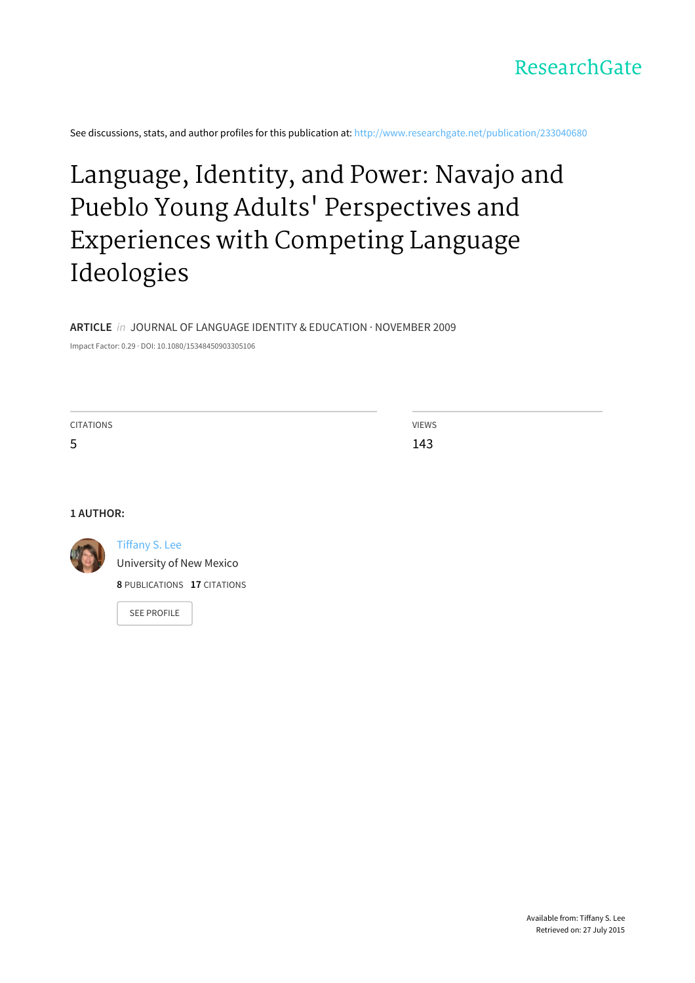

See discussions, stats, and author profiles for this publication at: [http://www.researchgate.net/publication/233040680](http://www.researchgate.net/publication/233040680_Language_Identity_and_Power_Navajo_and_Pueblo_Young_Adults%27_Perspectives_and_Experiences_with_Competing_Language_Ideologies?enrichId=rgreq-8902cc97-9b75-4463-8d46-52f9b8c05056&enrichSource=Y292ZXJQYWdlOzIzMzA0MDY4MDtBUzoxNTcwMjQ4NzI1NzQ5NzZAMTQxNDQ0OTA1NTkyMw%3D%3D&el=1_x_2)

# Language, Identity, and Power: Navajo and Pueblo Young Adults' [Perspectives](http://www.researchgate.net/publication/233040680_Language_Identity_and_Power_Navajo_and_Pueblo_Young_Adults%27_Perspectives_and_Experiences_with_Competing_Language_Ideologies?enrichId=rgreq-8902cc97-9b75-4463-8d46-52f9b8c05056&enrichSource=Y292ZXJQYWdlOzIzMzA0MDY4MDtBUzoxNTcwMjQ4NzI1NzQ5NzZAMTQxNDQ0OTA1NTkyMw%3D%3D&el=1_x_3) and Experiences with Competing Language Ideologies

**ARTICLE** in JOURNAL OF LANGUAGE IDENTITY & EDUCATION · NOVEMBER 2009

Impact Factor: 0.29 · DOI: 10.1080/15348450903305106

CITATIONS

5

VIEWS 143

## **1 AUTHOR:**



# [Tiffany](http://www.researchgate.net/profile/Tiffany_Lee9?enrichId=rgreq-8902cc97-9b75-4463-8d46-52f9b8c05056&enrichSource=Y292ZXJQYWdlOzIzMzA0MDY4MDtBUzoxNTcwMjQ4NzI1NzQ5NzZAMTQxNDQ0OTA1NTkyMw%3D%3D&el=1_x_5) S. Lee

[University](http://www.researchgate.net/institution/University_of_New_Mexico?enrichId=rgreq-8902cc97-9b75-4463-8d46-52f9b8c05056&enrichSource=Y292ZXJQYWdlOzIzMzA0MDY4MDtBUzoxNTcwMjQ4NzI1NzQ5NzZAMTQxNDQ0OTA1NTkyMw%3D%3D&el=1_x_6) of New Mexico

**8** PUBLICATIONS **17** CITATIONS

SEE [PROFILE](http://www.researchgate.net/profile/Tiffany_Lee9?enrichId=rgreq-8902cc97-9b75-4463-8d46-52f9b8c05056&enrichSource=Y292ZXJQYWdlOzIzMzA0MDY4MDtBUzoxNTcwMjQ4NzI1NzQ5NzZAMTQxNDQ0OTA1NTkyMw%3D%3D&el=1_x_7)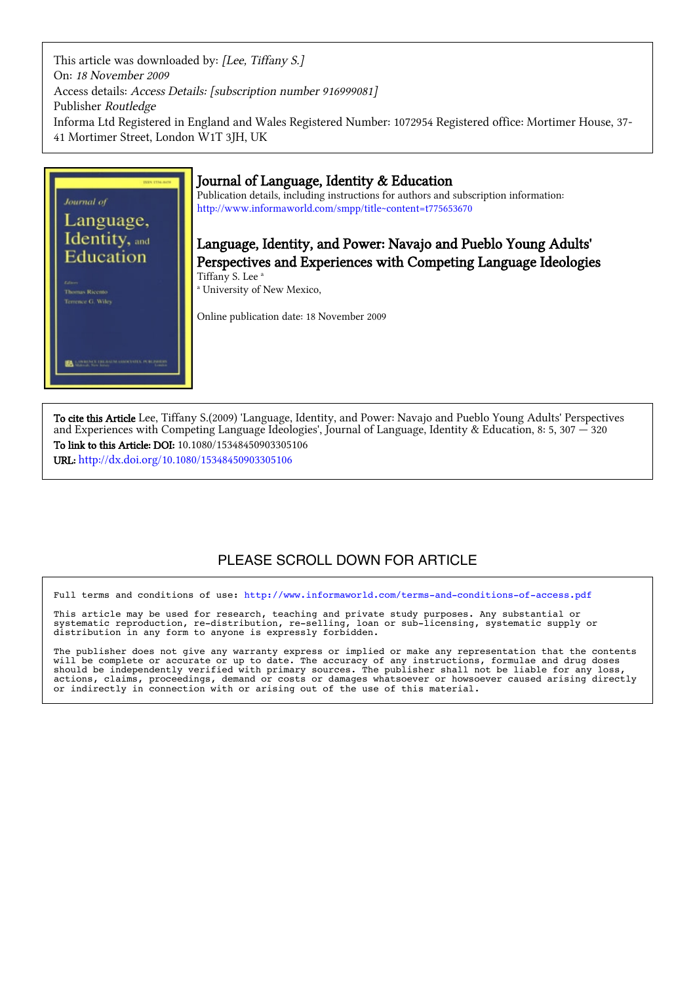This article was downloaded by: [Lee, Tiffany S.] On: 18 November 2009 Access details: Access Details: [subscription number 916999081] Publisher Routledge Informa Ltd Registered in England and Wales Registered Number: 1072954 Registered office: Mortimer House, 37- 41 Mortimer Street, London W1T 3JH, UK



To cite this Article Lee, Tiffany S.(2009) 'Language, Identity, and Power: Navajo and Pueblo Young Adults' Perspectives and Experiences with Competing Language Ideologies', Journal of Language, Identity & Education, 8: 5, 307 — 320 To link to this Article: DOI: 10.1080/15348450903305106 URL:<http://dx.doi.org/10.1080/15348450903305106>

# PLEASE SCROLL DOWN FOR ARTICLE

Full terms and conditions of use:<http://www.informaworld.com/terms-and-conditions-of-access.pdf>

This article may be used for research, teaching and private study purposes. Any substantial or systematic reproduction, re-distribution, re-selling, loan or sub-licensing, systematic supply or distribution in any form to anyone is expressly forbidden.

The publisher does not give any warranty express or implied or make any representation that the contents will be complete or accurate or up to date. The accuracy of any instructions, formulae and drug doses should be independently verified with primary sources. The publisher shall not be liable for any loss, actions, claims, proceedings, demand or costs or damages whatsoever or howsoever caused arising directly or indirectly in connection with or arising out of the use of this material.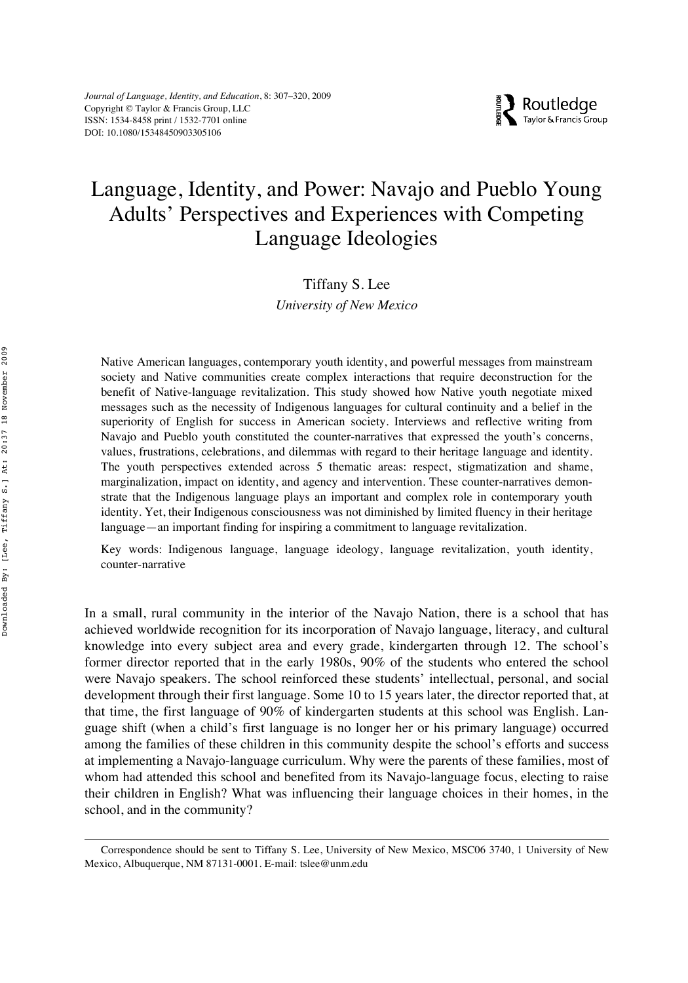

# Language, Identity, and Power: Navajo and Pueblo Young Adults' Perspectives and Experiences with Competing Language Ideologies

## Tiffany S. Lee

*University of New Mexico*

Native American languages, contemporary youth identity, and powerful messages from mainstream society and Native communities create complex interactions that require deconstruction for the benefit of Native-language revitalization. This study showed how Native youth negotiate mixed messages such as the necessity of Indigenous languages for cultural continuity and a belief in the superiority of English for success in American society. Interviews and reflective writing from Navajo and Pueblo youth constituted the counter-narratives that expressed the youth's concerns, values, frustrations, celebrations, and dilemmas with regard to their heritage language and identity. The youth perspectives extended across 5 thematic areas: respect, stigmatization and shame, marginalization, impact on identity, and agency and intervention. These counter-narratives demonstrate that the Indigenous language plays an important and complex role in contemporary youth identity. Yet, their Indigenous consciousness was not diminished by limited fluency in their heritage language—an important finding for inspiring a commitment to language revitalization.

Key words: Indigenous language, language ideology, language revitalization, youth identity, counter-narrative

In a small, rural community in the interior of the Navajo Nation, there is a school that has achieved worldwide recognition for its incorporation of Navajo language, literacy, and cultural knowledge into every subject area and every grade, kindergarten through 12. The school's former director reported that in the early 1980s, 90% of the students who entered the school were Navajo speakers. The school reinforced these students' intellectual, personal, and social development through their first language. Some 10 to 15 years later, the director reported that, at that time, the first language of 90% of kindergarten students at this school was English. Language shift (when a child's first language is no longer her or his primary language) occurred among the families of these children in this community despite the school's efforts and success at implementing a Navajo-language curriculum. Why were the parents of these families, most of whom had attended this school and benefited from its Navajo-language focus, electing to raise their children in English? What was influencing their language choices in their homes, in the school, and in the community?

Correspondence should be sent to Tiffany S. Lee, University of New Mexico, MSC06 3740, 1 University of New Mexico, Albuquerque, NM 87131-0001. E-mail: tslee@unm.edu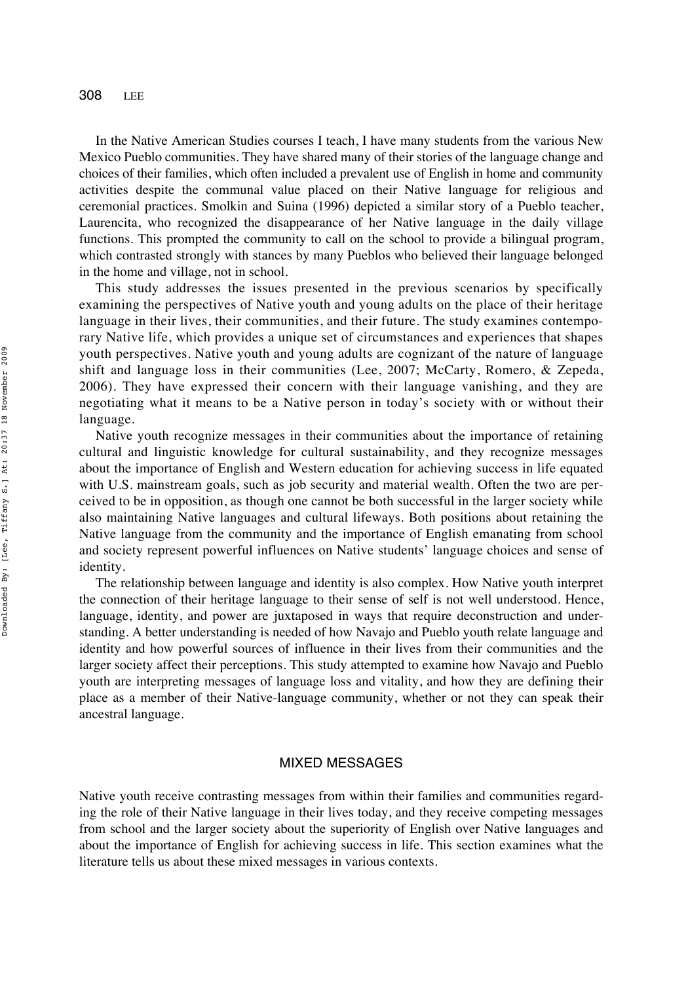In the Native American Studies courses I teach, I have many students from the various New Mexico Pueblo communities. They have shared many of their stories of the language change and choices of their families, which often included a prevalent use of English in home and community activities despite the communal value placed on their Native language for religious and ceremonial practices. Smolkin and Suina (1996) depicted a similar story of a Pueblo teacher, Laurencita, who recognized the disappearance of her Native language in the daily village functions. This prompted the community to call on the school to provide a bilingual program, which contrasted strongly with stances by many Pueblos who believed their language belonged in the home and village, not in school.

This study addresses the issues presented in the previous scenarios by specifically examining the perspectives of Native youth and young adults on the place of their heritage language in their lives, their communities, and their future. The study examines contemporary Native life, which provides a unique set of circumstances and experiences that shapes youth perspectives. Native youth and young adults are cognizant of the nature of language shift and language loss in their communities (Lee, 2007; McCarty, Romero, & Zepeda, 2006). They have expressed their concern with their language vanishing, and they are negotiating what it means to be a Native person in today's society with or without their language.

Native youth recognize messages in their communities about the importance of retaining cultural and linguistic knowledge for cultural sustainability, and they recognize messages about the importance of English and Western education for achieving success in life equated with U.S. mainstream goals, such as job security and material wealth. Often the two are perceived to be in opposition, as though one cannot be both successful in the larger society while also maintaining Native languages and cultural lifeways. Both positions about retaining the Native language from the community and the importance of English emanating from school and society represent powerful influences on Native students' language choices and sense of identity.

The relationship between language and identity is also complex. How Native youth interpret the connection of their heritage language to their sense of self is not well understood. Hence, language, identity, and power are juxtaposed in ways that require deconstruction and understanding. A better understanding is needed of how Navajo and Pueblo youth relate language and identity and how powerful sources of influence in their lives from their communities and the larger society affect their perceptions. This study attempted to examine how Navajo and Pueblo youth are interpreting messages of language loss and vitality, and how they are defining their place as a member of their Native-language community, whether or not they can speak their ancestral language.

#### MIXED MESSAGES

Native youth receive contrasting messages from within their families and communities regarding the role of their Native language in their lives today, and they receive competing messages from school and the larger society about the superiority of English over Native languages and about the importance of English for achieving success in life. This section examines what the literature tells us about these mixed messages in various contexts.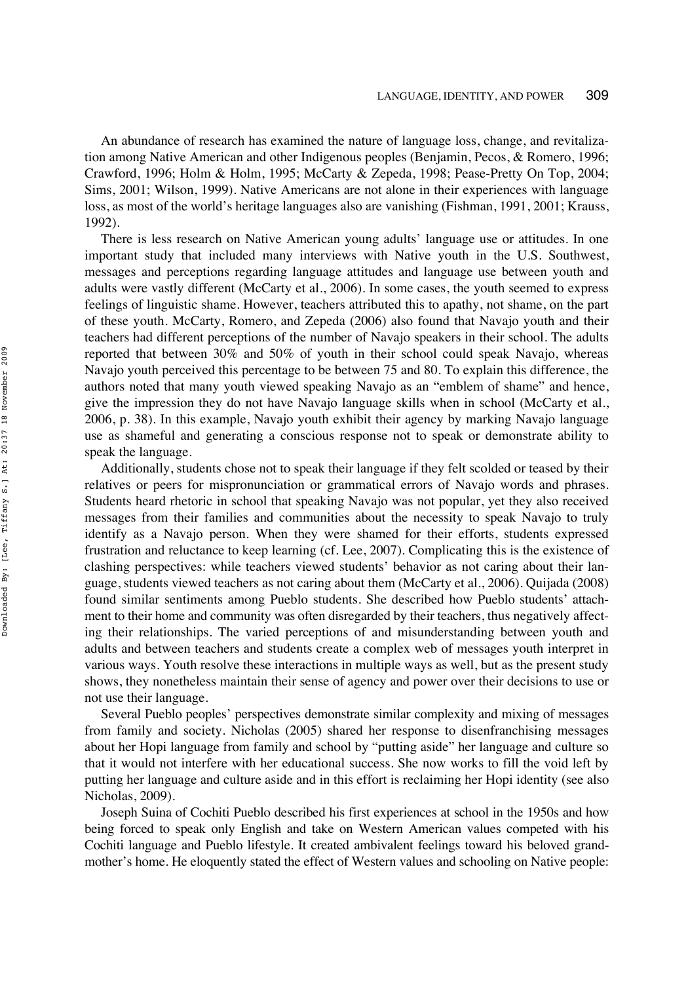An abundance of research has examined the nature of language loss, change, and revitalization among Native American and other Indigenous peoples (Benjamin, Pecos, & Romero, 1996; Crawford, 1996; Holm & Holm, 1995; McCarty & Zepeda, 1998; Pease-Pretty On Top, 2004; Sims, 2001; Wilson, 1999). Native Americans are not alone in their experiences with language loss, as most of the world's heritage languages also are vanishing (Fishman, 1991, 2001; Krauss, 1992).

There is less research on Native American young adults' language use or attitudes. In one important study that included many interviews with Native youth in the U.S. Southwest, messages and perceptions regarding language attitudes and language use between youth and adults were vastly different (McCarty et al., 2006). In some cases, the youth seemed to express feelings of linguistic shame. However, teachers attributed this to apathy, not shame, on the part of these youth. McCarty, Romero, and Zepeda (2006) also found that Navajo youth and their teachers had different perceptions of the number of Navajo speakers in their school. The adults reported that between 30% and 50% of youth in their school could speak Navajo, whereas Navajo youth perceived this percentage to be between 75 and 80. To explain this difference, the authors noted that many youth viewed speaking Navajo as an "emblem of shame" and hence, give the impression they do not have Navajo language skills when in school (McCarty et al., 2006, p. 38). In this example, Navajo youth exhibit their agency by marking Navajo language use as shameful and generating a conscious response not to speak or demonstrate ability to speak the language.

Additionally, students chose not to speak their language if they felt scolded or teased by their relatives or peers for mispronunciation or grammatical errors of Navajo words and phrases. Students heard rhetoric in school that speaking Navajo was not popular, yet they also received messages from their families and communities about the necessity to speak Navajo to truly identify as a Navajo person. When they were shamed for their efforts, students expressed frustration and reluctance to keep learning (cf. Lee, 2007). Complicating this is the existence of clashing perspectives: while teachers viewed students' behavior as not caring about their language, students viewed teachers as not caring about them (McCarty et al., 2006). Quijada (2008) found similar sentiments among Pueblo students. She described how Pueblo students' attachment to their home and community was often disregarded by their teachers, thus negatively affecting their relationships. The varied perceptions of and misunderstanding between youth and adults and between teachers and students create a complex web of messages youth interpret in various ways. Youth resolve these interactions in multiple ways as well, but as the present study shows, they nonetheless maintain their sense of agency and power over their decisions to use or not use their language.

Several Pueblo peoples' perspectives demonstrate similar complexity and mixing of messages from family and society. Nicholas (2005) shared her response to disenfranchising messages about her Hopi language from family and school by "putting aside" her language and culture so that it would not interfere with her educational success. She now works to fill the void left by putting her language and culture aside and in this effort is reclaiming her Hopi identity (see also Nicholas, 2009).

Joseph Suina of Cochiti Pueblo described his first experiences at school in the 1950s and how being forced to speak only English and take on Western American values competed with his Cochiti language and Pueblo lifestyle. It created ambivalent feelings toward his beloved grandmother's home. He eloquently stated the effect of Western values and schooling on Native people: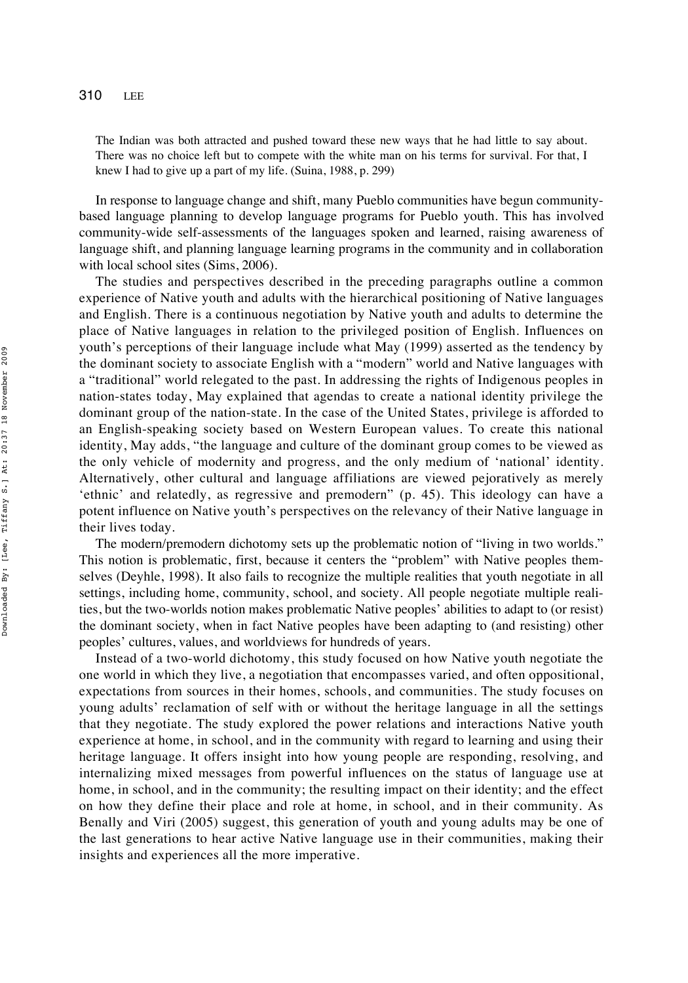The Indian was both attracted and pushed toward these new ways that he had little to say about. There was no choice left but to compete with the white man on his terms for survival. For that, I knew I had to give up a part of my life. (Suina, 1988, p. 299)

In response to language change and shift, many Pueblo communities have begun communitybased language planning to develop language programs for Pueblo youth. This has involved community-wide self-assessments of the languages spoken and learned, raising awareness of language shift, and planning language learning programs in the community and in collaboration with local school sites (Sims, 2006).

The studies and perspectives described in the preceding paragraphs outline a common experience of Native youth and adults with the hierarchical positioning of Native languages and English. There is a continuous negotiation by Native youth and adults to determine the place of Native languages in relation to the privileged position of English. Influences on youth's perceptions of their language include what May (1999) asserted as the tendency by the dominant society to associate English with a "modern" world and Native languages with a "traditional" world relegated to the past. In addressing the rights of Indigenous peoples in nation-states today, May explained that agendas to create a national identity privilege the dominant group of the nation-state. In the case of the United States, privilege is afforded to an English-speaking society based on Western European values. To create this national identity, May adds, "the language and culture of the dominant group comes to be viewed as the only vehicle of modernity and progress, and the only medium of 'national' identity. Alternatively, other cultural and language affiliations are viewed pejoratively as merely 'ethnic' and relatedly, as regressive and premodern" (p. 45). This ideology can have a potent influence on Native youth's perspectives on the relevancy of their Native language in their lives today.

The modern/premodern dichotomy sets up the problematic notion of "living in two worlds." This notion is problematic, first, because it centers the "problem" with Native peoples themselves (Deyhle, 1998). It also fails to recognize the multiple realities that youth negotiate in all settings, including home, community, school, and society. All people negotiate multiple realities, but the two-worlds notion makes problematic Native peoples' abilities to adapt to (or resist) the dominant society, when in fact Native peoples have been adapting to (and resisting) other peoples' cultures, values, and worldviews for hundreds of years.

Instead of a two-world dichotomy, this study focused on how Native youth negotiate the one world in which they live, a negotiation that encompasses varied, and often oppositional, expectations from sources in their homes, schools, and communities. The study focuses on young adults' reclamation of self with or without the heritage language in all the settings that they negotiate. The study explored the power relations and interactions Native youth experience at home, in school, and in the community with regard to learning and using their heritage language. It offers insight into how young people are responding, resolving, and internalizing mixed messages from powerful influences on the status of language use at home, in school, and in the community; the resulting impact on their identity; and the effect on how they define their place and role at home, in school, and in their community. As Benally and Viri (2005) suggest, this generation of youth and young adults may be one of the last generations to hear active Native language use in their communities, making their insights and experiences all the more imperative.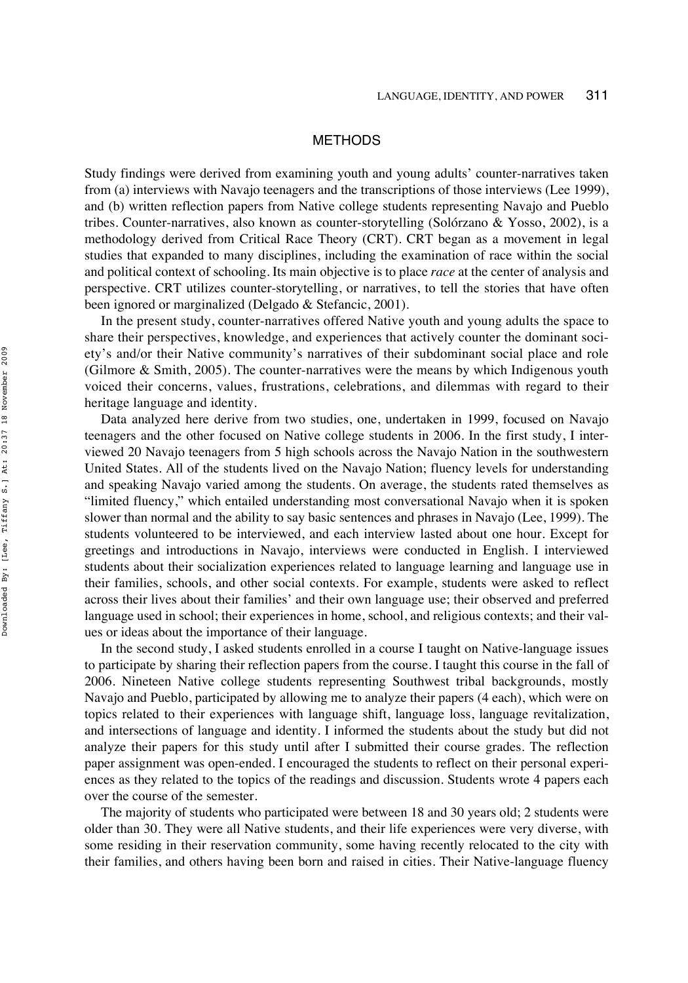#### METHODS

Study findings were derived from examining youth and young adults' counter-narratives taken from (a) interviews with Navajo teenagers and the transcriptions of those interviews (Lee 1999), and (b) written reflection papers from Native college students representing Navajo and Pueblo tribes. Counter-narratives, also known as counter-storytelling (Solórzano & Yosso, 2002), is a methodology derived from Critical Race Theory (CRT). CRT began as a movement in legal studies that expanded to many disciplines, including the examination of race within the social and political context of schooling. Its main objective is to place *race* at the center of analysis and perspective. CRT utilizes counter-storytelling, or narratives, to tell the stories that have often been ignored or marginalized (Delgado & Stefancic, 2001).

In the present study, counter-narratives offered Native youth and young adults the space to share their perspectives, knowledge, and experiences that actively counter the dominant society's and/or their Native community's narratives of their subdominant social place and role (Gilmore & Smith, 2005). The counter-narratives were the means by which Indigenous youth voiced their concerns, values, frustrations, celebrations, and dilemmas with regard to their heritage language and identity.

Data analyzed here derive from two studies, one, undertaken in 1999, focused on Navajo teenagers and the other focused on Native college students in 2006. In the first study, I interviewed 20 Navajo teenagers from 5 high schools across the Navajo Nation in the southwestern United States. All of the students lived on the Navajo Nation; fluency levels for understanding and speaking Navajo varied among the students. On average, the students rated themselves as "limited fluency," which entailed understanding most conversational Navajo when it is spoken slower than normal and the ability to say basic sentences and phrases in Navajo (Lee, 1999). The students volunteered to be interviewed, and each interview lasted about one hour. Except for greetings and introductions in Navajo, interviews were conducted in English. I interviewed students about their socialization experiences related to language learning and language use in their families, schools, and other social contexts. For example, students were asked to reflect across their lives about their families' and their own language use; their observed and preferred language used in school; their experiences in home, school, and religious contexts; and their values or ideas about the importance of their language.

In the second study, I asked students enrolled in a course I taught on Native-language issues to participate by sharing their reflection papers from the course. I taught this course in the fall of 2006. Nineteen Native college students representing Southwest tribal backgrounds, mostly Navajo and Pueblo, participated by allowing me to analyze their papers (4 each), which were on topics related to their experiences with language shift, language loss, language revitalization, and intersections of language and identity. I informed the students about the study but did not analyze their papers for this study until after I submitted their course grades. The reflection paper assignment was open-ended. I encouraged the students to reflect on their personal experiences as they related to the topics of the readings and discussion. Students wrote 4 papers each over the course of the semester.

The majority of students who participated were between 18 and 30 years old; 2 students were older than 30. They were all Native students, and their life experiences were very diverse, with some residing in their reservation community, some having recently relocated to the city with their families, and others having been born and raised in cities. Their Native-language fluency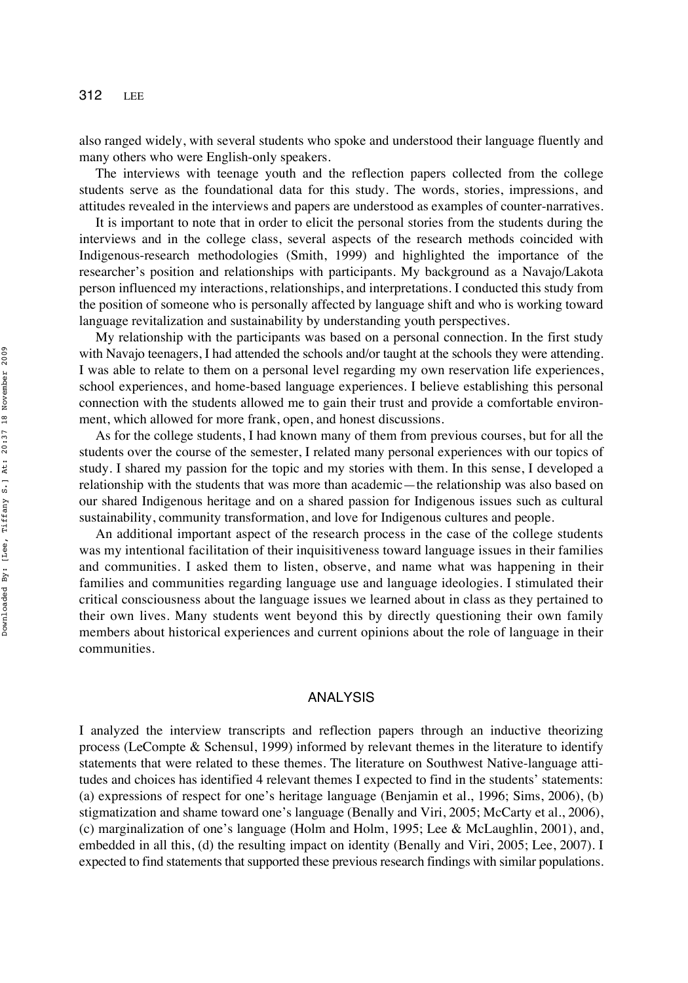also ranged widely, with several students who spoke and understood their language fluently and many others who were English-only speakers.

The interviews with teenage youth and the reflection papers collected from the college students serve as the foundational data for this study. The words, stories, impressions, and attitudes revealed in the interviews and papers are understood as examples of counter-narratives.

It is important to note that in order to elicit the personal stories from the students during the interviews and in the college class, several aspects of the research methods coincided with Indigenous-research methodologies (Smith, 1999) and highlighted the importance of the researcher's position and relationships with participants. My background as a Navajo/Lakota person influenced my interactions, relationships, and interpretations. I conducted this study from the position of someone who is personally affected by language shift and who is working toward language revitalization and sustainability by understanding youth perspectives.

My relationship with the participants was based on a personal connection. In the first study with Navajo teenagers, I had attended the schools and/or taught at the schools they were attending. I was able to relate to them on a personal level regarding my own reservation life experiences, school experiences, and home-based language experiences. I believe establishing this personal connection with the students allowed me to gain their trust and provide a comfortable environment, which allowed for more frank, open, and honest discussions.

As for the college students, I had known many of them from previous courses, but for all the students over the course of the semester, I related many personal experiences with our topics of study. I shared my passion for the topic and my stories with them. In this sense, I developed a relationship with the students that was more than academic—the relationship was also based on our shared Indigenous heritage and on a shared passion for Indigenous issues such as cultural sustainability, community transformation, and love for Indigenous cultures and people.

An additional important aspect of the research process in the case of the college students was my intentional facilitation of their inquisitiveness toward language issues in their families and communities. I asked them to listen, observe, and name what was happening in their families and communities regarding language use and language ideologies. I stimulated their critical consciousness about the language issues we learned about in class as they pertained to their own lives. Many students went beyond this by directly questioning their own family members about historical experiences and current opinions about the role of language in their communities.

#### ANALYSIS

I analyzed the interview transcripts and reflection papers through an inductive theorizing process (LeCompte & Schensul, 1999) informed by relevant themes in the literature to identify statements that were related to these themes. The literature on Southwest Native-language attitudes and choices has identified 4 relevant themes I expected to find in the students' statements: (a) expressions of respect for one's heritage language (Benjamin et al., 1996; Sims, 2006), (b) stigmatization and shame toward one's language (Benally and Viri, 2005; McCarty et al., 2006), (c) marginalization of one's language (Holm and Holm, 1995; Lee & McLaughlin, 2001), and, embedded in all this, (d) the resulting impact on identity (Benally and Viri, 2005; Lee, 2007). I expected to find statements that supported these previous research findings with similar populations.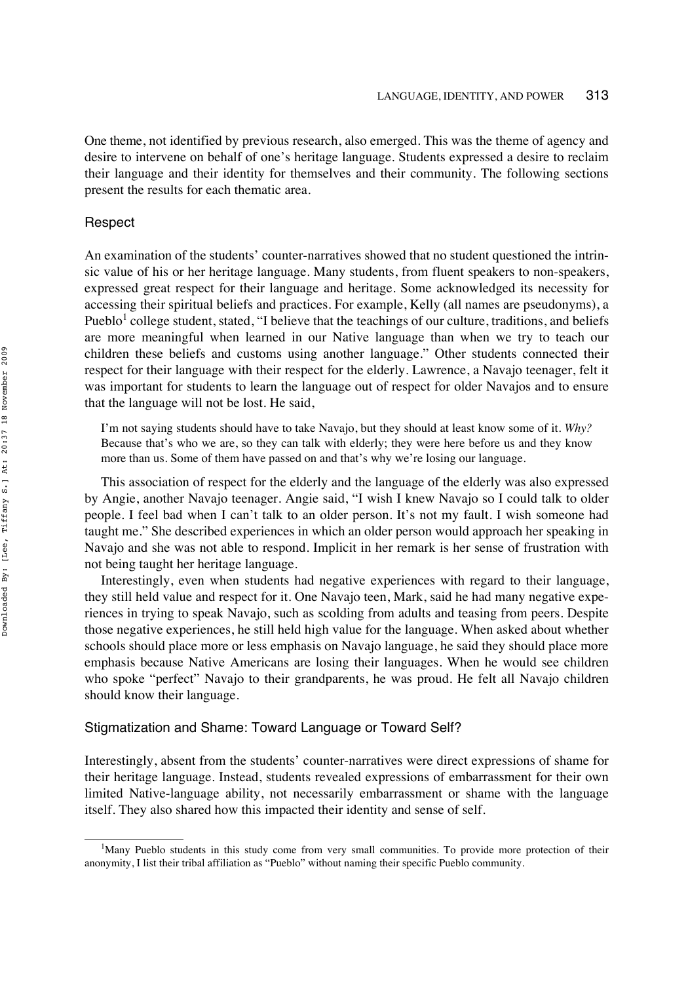One theme, not identified by previous research, also emerged. This was the theme of agency and desire to intervene on behalf of one's heritage language. Students expressed a desire to reclaim their language and their identity for themselves and their community. The following sections present the results for each thematic area.

## Respect

An examination of the students' counter-narratives showed that no student questioned the intrinsic value of his or her heritage language. Many students, from fluent speakers to non-speakers, expressed great respect for their language and heritage. Some acknowledged its necessity for accessing their spiritual beliefs and practices. For example, Kelly (all names are pseudonyms), a Pueblo<sup>1</sup> college student, stated, "I believe that the teachings of our culture, traditions, and beliefs are more meaningful when learned in our Native language than when we try to teach our children these beliefs and customs using another language." Other students connected their respect for their language with their respect for the elderly. Lawrence, a Navajo teenager, felt it was important for students to learn the language out of respect for older Navajos and to ensure that the language will not be lost. He said,

I'm not saying students should have to take Navajo, but they should at least know some of it. *Why?* Because that's who we are, so they can talk with elderly; they were here before us and they know more than us. Some of them have passed on and that's why we're losing our language.

This association of respect for the elderly and the language of the elderly was also expressed by Angie, another Navajo teenager. Angie said, "I wish I knew Navajo so I could talk to older people. I feel bad when I can't talk to an older person. It's not my fault. I wish someone had taught me." She described experiences in which an older person would approach her speaking in Navajo and she was not able to respond. Implicit in her remark is her sense of frustration with not being taught her heritage language.

Interestingly, even when students had negative experiences with regard to their language, they still held value and respect for it. One Navajo teen, Mark, said he had many negative experiences in trying to speak Navajo, such as scolding from adults and teasing from peers. Despite those negative experiences, he still held high value for the language. When asked about whether schools should place more or less emphasis on Navajo language, he said they should place more emphasis because Native Americans are losing their languages. When he would see children who spoke "perfect" Navajo to their grandparents, he was proud. He felt all Navajo children should know their language.

#### Stigmatization and Shame: Toward Language or Toward Self?

Interestingly, absent from the students' counter-narratives were direct expressions of shame for their heritage language. Instead, students revealed expressions of embarrassment for their own limited Native-language ability, not necessarily embarrassment or shame with the language itself. They also shared how this impacted their identity and sense of self.

<sup>&</sup>lt;sup>1</sup>Many Pueblo students in this study come from very small communities. To provide more protection of their anonymity, I list their tribal affiliation as "Pueblo" without naming their specific Pueblo community.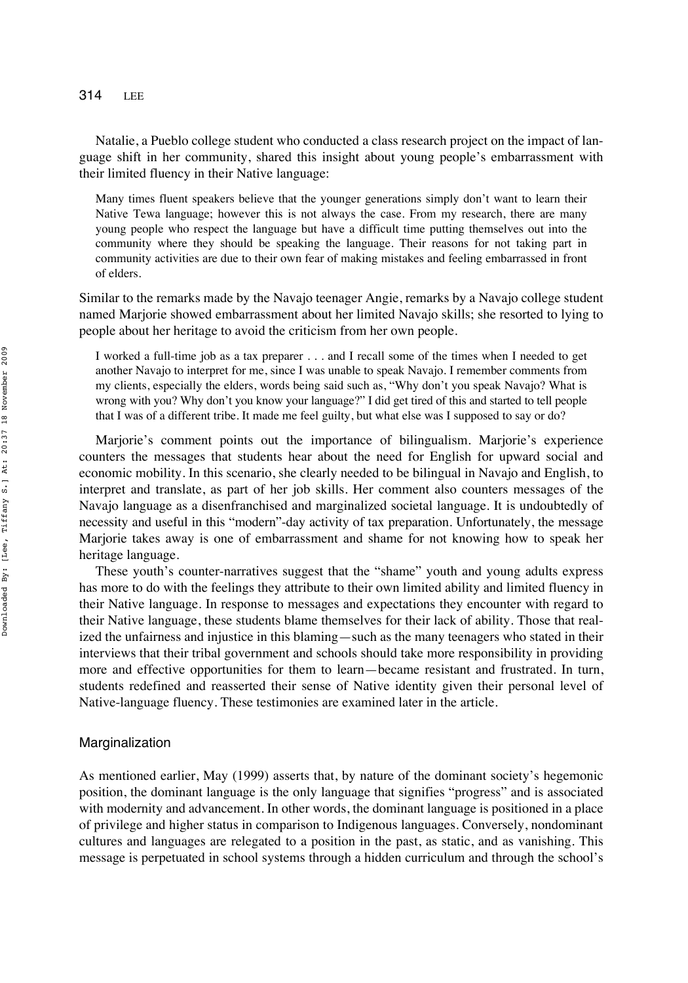#### 314 LEE

Natalie, a Pueblo college student who conducted a class research project on the impact of language shift in her community, shared this insight about young people's embarrassment with their limited fluency in their Native language:

Many times fluent speakers believe that the younger generations simply don't want to learn their Native Tewa language; however this is not always the case. From my research, there are many young people who respect the language but have a difficult time putting themselves out into the community where they should be speaking the language. Their reasons for not taking part in community activities are due to their own fear of making mistakes and feeling embarrassed in front of elders.

Similar to the remarks made by the Navajo teenager Angie, remarks by a Navajo college student named Marjorie showed embarrassment about her limited Navajo skills; she resorted to lying to people about her heritage to avoid the criticism from her own people.

I worked a full-time job as a tax preparer . . . and I recall some of the times when I needed to get another Navajo to interpret for me, since I was unable to speak Navajo. I remember comments from my clients, especially the elders, words being said such as, "Why don't you speak Navajo? What is wrong with you? Why don't you know your language?" I did get tired of this and started to tell people that I was of a different tribe. It made me feel guilty, but what else was I supposed to say or do?

Marjorie's comment points out the importance of bilingualism. Marjorie's experience counters the messages that students hear about the need for English for upward social and economic mobility. In this scenario, she clearly needed to be bilingual in Navajo and English, to interpret and translate, as part of her job skills. Her comment also counters messages of the Navajo language as a disenfranchised and marginalized societal language. It is undoubtedly of necessity and useful in this "modern"-day activity of tax preparation. Unfortunately, the message Marjorie takes away is one of embarrassment and shame for not knowing how to speak her heritage language.

These youth's counter-narratives suggest that the "shame" youth and young adults express has more to do with the feelings they attribute to their own limited ability and limited fluency in their Native language. In response to messages and expectations they encounter with regard to their Native language, these students blame themselves for their lack of ability. Those that realized the unfairness and injustice in this blaming—such as the many teenagers who stated in their interviews that their tribal government and schools should take more responsibility in providing more and effective opportunities for them to learn—became resistant and frustrated. In turn, students redefined and reasserted their sense of Native identity given their personal level of Native-language fluency. These testimonies are examined later in the article.

#### Marginalization

As mentioned earlier, May (1999) asserts that, by nature of the dominant society's hegemonic position, the dominant language is the only language that signifies "progress" and is associated with modernity and advancement. In other words, the dominant language is positioned in a place of privilege and higher status in comparison to Indigenous languages. Conversely, nondominant cultures and languages are relegated to a position in the past, as static, and as vanishing. This message is perpetuated in school systems through a hidden curriculum and through the school's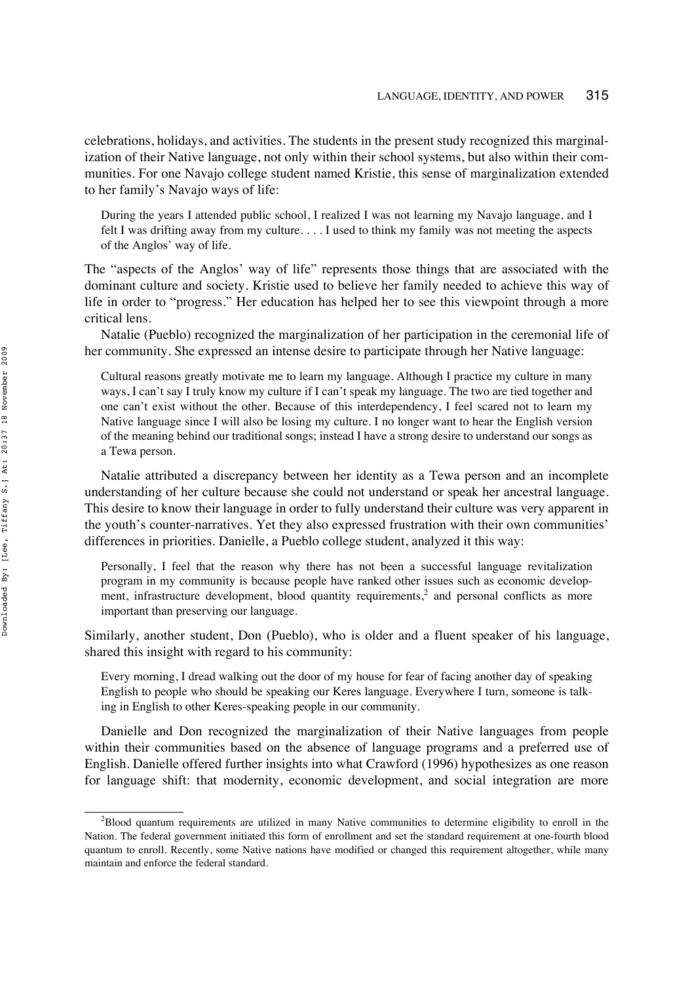celebrations, holidays, and activities. The students in the present study recognized this marginalization of their Native language, not only within their school systems, but also within their communities. For one Navajo college student named Kristie, this sense of marginalization extended to her family's Navajo ways of life:

During the years I attended public school, I realized I was not learning my Navajo language, and I felt I was drifting away from my culture. . . . I used to think my family was not meeting the aspects of the Anglos' way of life.

The "aspects of the Anglos' way of life" represents those things that are associated with the dominant culture and society. Kristie used to believe her family needed to achieve this way of life in order to "progress." Her education has helped her to see this viewpoint through a more critical lens.

Natalie (Pueblo) recognized the marginalization of her participation in the ceremonial life of her community. She expressed an intense desire to participate through her Native language:

Cultural reasons greatly motivate me to learn my language. Although I practice my culture in many ways, I can't say I truly know my culture if I can't speak my language. The two are tied together and one can't exist without the other. Because of this interdependency, I feel scared not to learn my Native language since I will also be losing my culture. I no longer want to hear the English version of the meaning behind our traditional songs; instead I have a strong desire to understand our songs as a Tewa person.

Natalie attributed a discrepancy between her identity as a Tewa person and an incomplete understanding of her culture because she could not understand or speak her ancestral language. This desire to know their language in order to fully understand their culture was very apparent in the youth's counter-narratives. Yet they also expressed frustration with their own communities' differences in priorities. Danielle, a Pueblo college student, analyzed it this way:

Personally, I feel that the reason why there has not been a successful language revitalization program in my community is because people have ranked other issues such as economic development, infrastructure development, blood quantity requirements,<sup>2</sup> and personal conflicts as more important than preserving our language.

Similarly, another student, Don (Pueblo), who is older and a fluent speaker of his language, shared this insight with regard to his community:

Every morning, I dread walking out the door of my house for fear of facing another day of speaking English to people who should be speaking our Keres language. Everywhere I turn, someone is talking in English to other Keres-speaking people in our community.

Danielle and Don recognized the marginalization of their Native languages from people within their communities based on the absence of language programs and a preferred use of English. Danielle offered further insights into what Crawford (1996) hypothesizes as one reason for language shift: that modernity, economic development, and social integration are more

<sup>2</sup> Blood quantum requirements are utilized in many Native communities to determine eligibility to enroll in the Nation. The federal government initiated this form of enrollment and set the standard requirement at one-fourth blood quantum to enroll. Recently, some Native nations have modified or changed this requirement altogether, while many maintain and enforce the federal standard.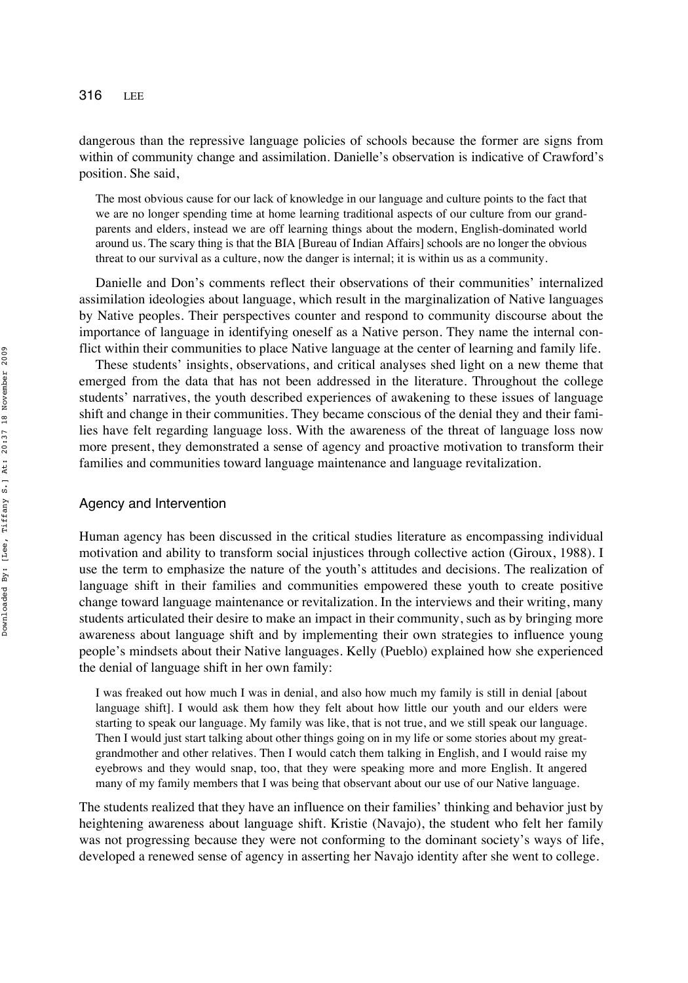dangerous than the repressive language policies of schools because the former are signs from within of community change and assimilation. Danielle's observation is indicative of Crawford's position. She said,

The most obvious cause for our lack of knowledge in our language and culture points to the fact that we are no longer spending time at home learning traditional aspects of our culture from our grandparents and elders, instead we are off learning things about the modern, English-dominated world around us. The scary thing is that the BIA [Bureau of Indian Affairs] schools are no longer the obvious threat to our survival as a culture, now the danger is internal; it is within us as a community.

Danielle and Don's comments reflect their observations of their communities' internalized assimilation ideologies about language, which result in the marginalization of Native languages by Native peoples. Their perspectives counter and respond to community discourse about the importance of language in identifying oneself as a Native person. They name the internal conflict within their communities to place Native language at the center of learning and family life.

These students' insights, observations, and critical analyses shed light on a new theme that emerged from the data that has not been addressed in the literature. Throughout the college students' narratives, the youth described experiences of awakening to these issues of language shift and change in their communities. They became conscious of the denial they and their families have felt regarding language loss. With the awareness of the threat of language loss now more present, they demonstrated a sense of agency and proactive motivation to transform their families and communities toward language maintenance and language revitalization.

#### Agency and Intervention

Human agency has been discussed in the critical studies literature as encompassing individual motivation and ability to transform social injustices through collective action (Giroux, 1988). I use the term to emphasize the nature of the youth's attitudes and decisions. The realization of language shift in their families and communities empowered these youth to create positive change toward language maintenance or revitalization. In the interviews and their writing, many students articulated their desire to make an impact in their community, such as by bringing more awareness about language shift and by implementing their own strategies to influence young people's mindsets about their Native languages. Kelly (Pueblo) explained how she experienced the denial of language shift in her own family:

I was freaked out how much I was in denial, and also how much my family is still in denial [about language shift]. I would ask them how they felt about how little our youth and our elders were starting to speak our language. My family was like, that is not true, and we still speak our language. Then I would just start talking about other things going on in my life or some stories about my greatgrandmother and other relatives. Then I would catch them talking in English, and I would raise my eyebrows and they would snap, too, that they were speaking more and more English. It angered many of my family members that I was being that observant about our use of our Native language.

The students realized that they have an influence on their families' thinking and behavior just by heightening awareness about language shift. Kristie (Navajo), the student who felt her family was not progressing because they were not conforming to the dominant society's ways of life, developed a renewed sense of agency in asserting her Navajo identity after she went to college.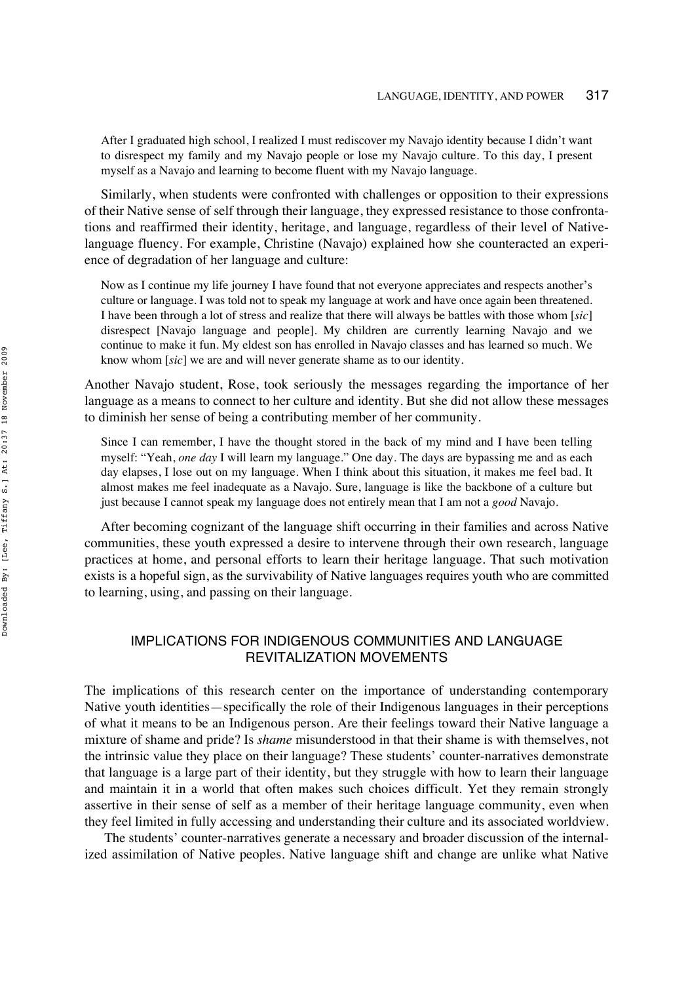After I graduated high school, I realized I must rediscover my Navajo identity because I didn't want to disrespect my family and my Navajo people or lose my Navajo culture. To this day, I present myself as a Navajo and learning to become fluent with my Navajo language.

Similarly, when students were confronted with challenges or opposition to their expressions of their Native sense of self through their language, they expressed resistance to those confrontations and reaffirmed their identity, heritage, and language, regardless of their level of Nativelanguage fluency. For example, Christine (Navajo) explained how she counteracted an experience of degradation of her language and culture:

Now as I continue my life journey I have found that not everyone appreciates and respects another's culture or language. I was told not to speak my language at work and have once again been threatened. I have been through a lot of stress and realize that there will always be battles with those whom [*sic*] disrespect [Navajo language and people]. My children are currently learning Navajo and we continue to make it fun. My eldest son has enrolled in Navajo classes and has learned so much. We know whom [*sic*] we are and will never generate shame as to our identity.

Another Navajo student, Rose, took seriously the messages regarding the importance of her language as a means to connect to her culture and identity. But she did not allow these messages to diminish her sense of being a contributing member of her community.

Since I can remember, I have the thought stored in the back of my mind and I have been telling myself: "Yeah, *one day* I will learn my language." One day. The days are bypassing me and as each day elapses, I lose out on my language. When I think about this situation, it makes me feel bad. It almost makes me feel inadequate as a Navajo. Sure, language is like the backbone of a culture but just because I cannot speak my language does not entirely mean that I am not a *good* Navajo.

After becoming cognizant of the language shift occurring in their families and across Native communities, these youth expressed a desire to intervene through their own research, language practices at home, and personal efforts to learn their heritage language. That such motivation exists is a hopeful sign, as the survivability of Native languages requires youth who are committed to learning, using, and passing on their language.

# IMPLICATIONS FOR INDIGENOUS COMMUNITIES AND LANGUAGE REVITALIZATION MOVEMENTS

The implications of this research center on the importance of understanding contemporary Native youth identities—specifically the role of their Indigenous languages in their perceptions of what it means to be an Indigenous person. Are their feelings toward their Native language a mixture of shame and pride? Is *shame* misunderstood in that their shame is with themselves, not the intrinsic value they place on their language? These students' counter-narratives demonstrate that language is a large part of their identity, but they struggle with how to learn their language and maintain it in a world that often makes such choices difficult. Yet they remain strongly assertive in their sense of self as a member of their heritage language community, even when they feel limited in fully accessing and understanding their culture and its associated worldview.

 The students' counter-narratives generate a necessary and broader discussion of the internalized assimilation of Native peoples. Native language shift and change are unlike what Native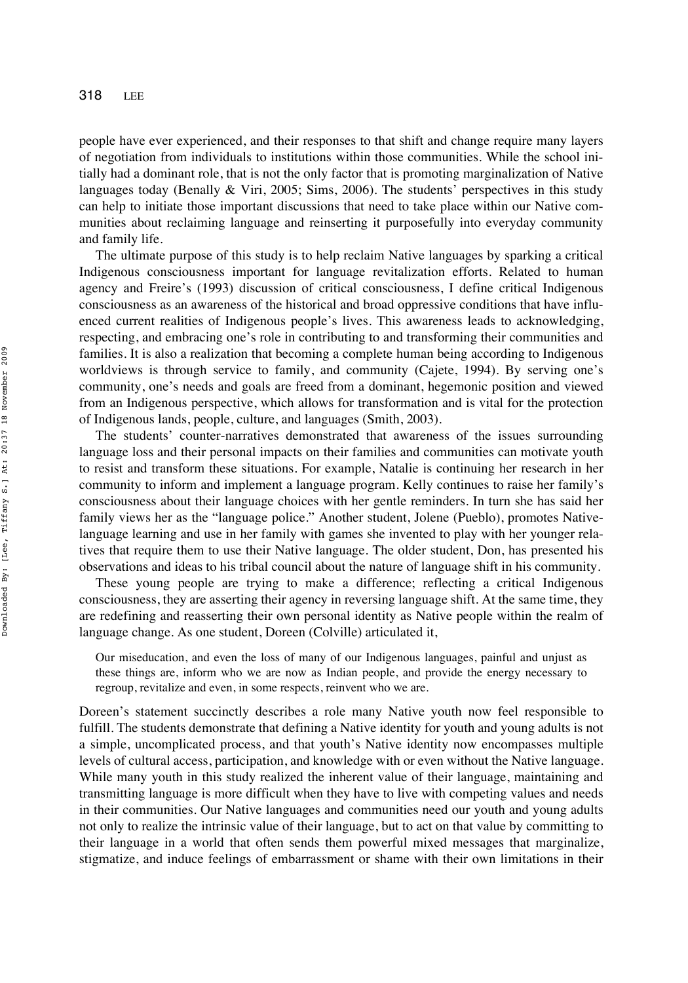people have ever experienced, and their responses to that shift and change require many layers of negotiation from individuals to institutions within those communities. While the school initially had a dominant role, that is not the only factor that is promoting marginalization of Native languages today (Benally & Viri, 2005; Sims, 2006). The students' perspectives in this study can help to initiate those important discussions that need to take place within our Native communities about reclaiming language and reinserting it purposefully into everyday community and family life.

The ultimate purpose of this study is to help reclaim Native languages by sparking a critical Indigenous consciousness important for language revitalization efforts. Related to human agency and Freire's (1993) discussion of critical consciousness, I define critical Indigenous consciousness as an awareness of the historical and broad oppressive conditions that have influenced current realities of Indigenous people's lives. This awareness leads to acknowledging, respecting, and embracing one's role in contributing to and transforming their communities and families. It is also a realization that becoming a complete human being according to Indigenous worldviews is through service to family, and community (Cajete, 1994). By serving one's community, one's needs and goals are freed from a dominant, hegemonic position and viewed from an Indigenous perspective, which allows for transformation and is vital for the protection of Indigenous lands, people, culture, and languages (Smith, 2003).

The students' counter-narratives demonstrated that awareness of the issues surrounding language loss and their personal impacts on their families and communities can motivate youth to resist and transform these situations. For example, Natalie is continuing her research in her community to inform and implement a language program. Kelly continues to raise her family's consciousness about their language choices with her gentle reminders. In turn she has said her family views her as the "language police." Another student, Jolene (Pueblo), promotes Nativelanguage learning and use in her family with games she invented to play with her younger relatives that require them to use their Native language. The older student, Don, has presented his observations and ideas to his tribal council about the nature of language shift in his community.

These young people are trying to make a difference; reflecting a critical Indigenous consciousness, they are asserting their agency in reversing language shift. At the same time, they are redefining and reasserting their own personal identity as Native people within the realm of language change. As one student, Doreen (Colville) articulated it,

Our miseducation, and even the loss of many of our Indigenous languages, painful and unjust as these things are, inform who we are now as Indian people, and provide the energy necessary to regroup, revitalize and even, in some respects, reinvent who we are.

Doreen's statement succinctly describes a role many Native youth now feel responsible to fulfill. The students demonstrate that defining a Native identity for youth and young adults is not a simple, uncomplicated process, and that youth's Native identity now encompasses multiple levels of cultural access, participation, and knowledge with or even without the Native language. While many youth in this study realized the inherent value of their language, maintaining and transmitting language is more difficult when they have to live with competing values and needs in their communities. Our Native languages and communities need our youth and young adults not only to realize the intrinsic value of their language, but to act on that value by committing to their language in a world that often sends them powerful mixed messages that marginalize, stigmatize, and induce feelings of embarrassment or shame with their own limitations in their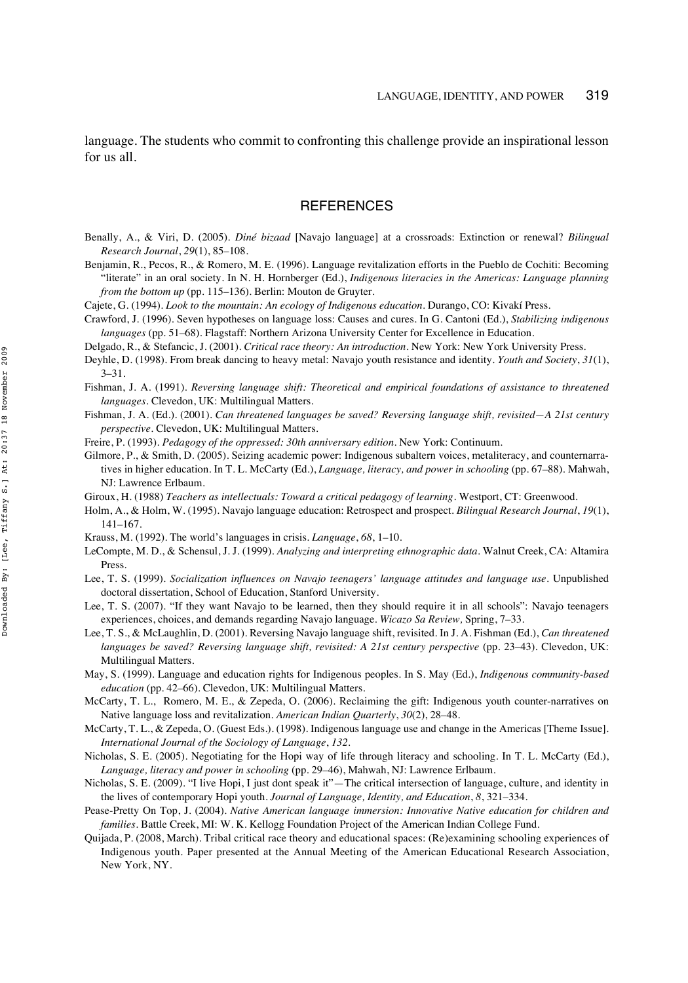language. The students who commit to confronting this challenge provide an inspirational lesson for us all.

#### **REFERENCES**

- Benally, A., & Viri, D. (2005). *Diné bizaad* [Navajo language] at a crossroads: Extinction or renewal? *Bilingual Research Journal*, *29*(1), 85–108.
- Benjamin, R., Pecos, R., & Romero, M. E. (1996). Language revitalization efforts in the Pueblo de Cochiti: Becoming "literate" in an oral society. In N. H. Hornberger (Ed.), *Indigenous literacies in the Americas: Language planning from the bottom up* (pp. 115–136). Berlin: Mouton de Gruyter.
- Cajete, G. (1994). *Look to the mountain: An ecology of Indigenous education*. Durango, CO: Kivakí Press.
- Crawford, J. (1996). Seven hypotheses on language loss: Causes and cures. In G. Cantoni (Ed.), *Stabilizing indigenous languages* (pp. 51–68). Flagstaff: Northern Arizona University Center for Excellence in Education.
- Delgado, R., & Stefancic, J. (2001). *Critical race theory: An introduction*. New York: New York University Press.
- Deyhle, D. (1998). From break dancing to heavy metal: Navajo youth resistance and identity. *Youth and Society*, *31*(1), 3–31.
- Fishman, J. A. (1991). *Reversing language shift: Theoretical and empirical foundations of assistance to threatened languages*. Clevedon, UK: Multilingual Matters.
- Fishman, J. A. (Ed.). (2001). *Can threatened languages be saved? Reversing language shift, revisited—A 21st century perspective*. Clevedon, UK: Multilingual Matters.
- Freire, P. (1993). *Pedagogy of the oppressed: 30th anniversary edition*. New York: Continuum.
- Gilmore, P., & Smith, D. (2005). Seizing academic power: Indigenous subaltern voices, metaliteracy, and counternarratives in higher education. In T. L. McCarty (Ed.), *Language, literacy, and power in schooling* (pp. 67–88). Mahwah, NJ: Lawrence Erlbaum.
- Giroux, H. (1988) *Teachers as intellectuals: Toward a critical pedagogy of learning*. Westport, CT: Greenwood.
- Holm, A., & Holm, W. (1995). Navajo language education: Retrospect and prospect. *Bilingual Research Journal*, *19*(1), 141–167.
- Krauss, M. (1992). The world's languages in crisis. *Language*, *68*, 1–10.
- LeCompte, M. D., & Schensul, J. J. (1999). *Analyzing and interpreting ethnographic data.* Walnut Creek, CA: Altamira Press.
- Lee, T. S. (1999). *Socialization influences on Navajo teenagers' language attitudes and language use*. Unpublished doctoral dissertation, School of Education, Stanford University.
- Lee, T. S. (2007). "If they want Navajo to be learned, then they should require it in all schools": Navajo teenagers experiences, choices, and demands regarding Navajo language. *Wicazo Sa Review,* Spring, 7–33.
- Lee, T. S., & McLaughlin, D. (2001). Reversing Navajo language shift, revisited. In J. A. Fishman (Ed.), *Can threatened languages be saved? Reversing language shift, revisited: A 21st century perspective* (pp. 23–43). Clevedon, UK: Multilingual Matters.
- May, S. (1999). Language and education rights for Indigenous peoples. In S. May (Ed.), *Indigenous community-based education* (pp. 42–66). Clevedon, UK: Multilingual Matters.
- McCarty, T. L., Romero, M. E., & Zepeda, O. (2006). Reclaiming the gift: Indigenous youth counter-narratives on Native language loss and revitalization. *American Indian Quarterly*, *30*(2), 28–48.
- McCarty, T. L., & Zepeda, O. (Guest Eds.). (1998). Indigenous language use and change in the Americas [Theme Issue]. *International Journal of the Sociology of Language*, *132*.
- Nicholas, S. E. (2005). Negotiating for the Hopi way of life through literacy and schooling. In T. L. McCarty (Ed.), *Language, literacy and power in schooling* (pp. 29–46), Mahwah, NJ: Lawrence Erlbaum.
- Nicholas, S. E. (2009). "I live Hopi, I just dont speak it"—The critical intersection of language, culture, and identity in the lives of contemporary Hopi youth. *Journal of Language, Identity, and Education*, *8*, 321–334.
- Pease-Pretty On Top, J. (2004). *Native American language immersion: Innovative Native education for children and families*. Battle Creek, MI: W. K. Kellogg Foundation Project of the American Indian College Fund.
- Quijada, P. (2008, March). Tribal critical race theory and educational spaces: (Re)examining schooling experiences of Indigenous youth. Paper presented at the Annual Meeting of the American Educational Research Association, New York, NY.